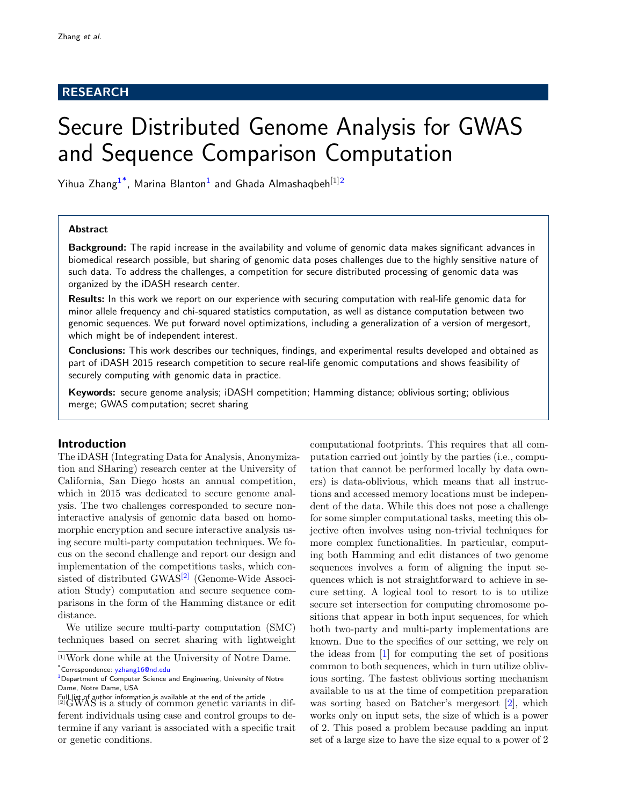# RESEARCH

# Secure Distributed Genome Analysis for GWAS and Sequence Comparison Computation

Yihua Zhang $^{1^\ast}$  $^{1^\ast}$  $^{1^\ast}$ , Marina Blanton $^1$  and Ghada Almashaqbeh $^{[1]2}$  $^{[1]2}$  $^{[1]2}$ 

## Abstract

Background: The rapid increase in the availability and volume of genomic data makes significant advances in biomedical research possible, but sharing of genomic data poses challenges due to the highly sensitive nature of such data. To address the challenges, a competition for secure distributed processing of genomic data was organized by the iDASH research center.

Results: In this work we report on our experience with securing computation with real-life genomic data for minor allele frequency and chi-squared statistics computation, as well as distance computation between two genomic sequences. We put forward novel optimizations, including a generalization of a version of mergesort, which might be of independent interest.

Conclusions: This work describes our techniques, findings, and experimental results developed and obtained as part of iDASH 2015 research competition to secure real-life genomic computations and shows feasibility of securely computing with genomic data in practice.

Keywords: secure genome analysis; iDASH competition; Hamming distance; oblivious sorting; oblivious merge; GWAS computation; secret sharing

## Introduction

The iDASH (Integrating Data for Analysis, Anonymization and SHaring) research center at the University of California, San Diego hosts an annual competition, which in 2015 was dedicated to secure genome analysis. The two challenges corresponded to secure noninteractive analysis of genomic data based on homomorphic encryption and secure interactive analysis using secure multi-party computation techniques. We focus on the second challenge and report our design and implementation of the competitions tasks, which con-sisted of distributed GWAS<sup>[\[2\]](#page-0-1)</sup> (Genome-Wide Association Study) computation and secure sequence comparisons in the form of the Hamming distance or edit distance.

We utilize secure multi-party computation (SMC) techniques based on secret sharing with lightweight

computational footprints. This requires that all computation carried out jointly by the parties (i.e., computation that cannot be performed locally by data owners) is data-oblivious, which means that all instructions and accessed memory locations must be independent of the data. While this does not pose a challenge for some simpler computational tasks, meeting this objective often involves using non-trivial techniques for more complex functionalities. In particular, computing both Hamming and edit distances of two genome sequences involves a form of aligning the input sequences which is not straightforward to achieve in secure setting. A logical tool to resort to is to utilize secure set intersection for computing chromosome positions that appear in both input sequences, for which both two-party and multi-party implementations are known. Due to the specifics of our setting, we rely on the ideas from [\[1\]](#page-11-2) for computing the set of positions common to both sequences, which in turn utilize oblivious sorting. The fastest oblivious sorting mechanism available to us at the time of competition preparation was sorting based on Batcher's mergesort [\[2\]](#page-11-3), which works only on input sets, the size of which is a power of 2. This posed a problem because padding an input set of a large size to have the size equal to a power of 2

<sup>[1]</sup>Work done while at the University of Notre Dame. \*Correspondence: [yzhang16@nd.edu](mailto:yzhang16@nd.edu)

<span id="page-0-0"></span><sup>&</sup>lt;sup>[1](#page-11-0)</sup>Department of Computer Science and Engineering, University of Notre Dame, Notre Dame, USA

<span id="page-0-1"></span>Full list of author information is available at the end of the article [2]GWAS is a study of common genetic variants in different individuals using case and control groups to determine if any variant is associated with a specific trait or genetic conditions.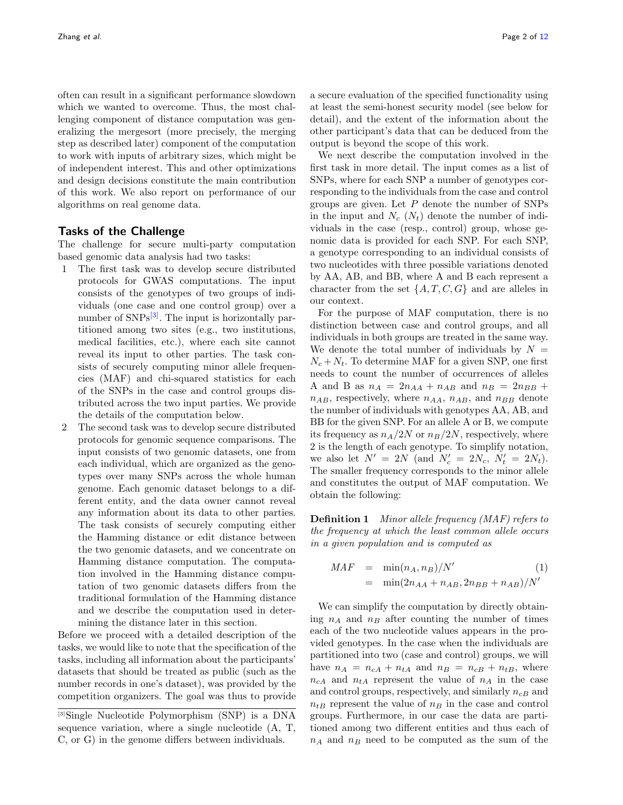often can result in a significant performance slowdown which we wanted to overcome. Thus, the most challenging component of distance computation was generalizing the mergesort (more precisely, the merging step as described later) component of the computation to work with inputs of arbitrary sizes, which might be of independent interest. This and other optimizations and design decisions constitute the main contribution of this work. We also report on performance of our algorithms on real genome data.

## Tasks of the Challenge

The challenge for secure multi-party computation based genomic data analysis had two tasks:

- 1 The first task was to develop secure distributed protocols for GWAS computations. The input consists of the genotypes of two groups of individuals (one case and one control group) over a number of  $SNPs^{[3]}$  $SNPs^{[3]}$  $SNPs^{[3]}$ . The input is horizontally partitioned among two sites (e.g., two institutions, medical facilities, etc.), where each site cannot reveal its input to other parties. The task consists of securely computing minor allele frequencies (MAF) and chi-squared statistics for each of the SNPs in the case and control groups distributed across the two input parties. We provide the details of the computation below.
- 2 The second task was to develop secure distributed protocols for genomic sequence comparisons. The input consists of two genomic datasets, one from each individual, which are organized as the genotypes over many SNPs across the whole human genome. Each genomic dataset belongs to a different entity, and the data owner cannot reveal any information about its data to other parties. The task consists of securely computing either the Hamming distance or edit distance between the two genomic datasets, and we concentrate on Hamming distance computation. The computation involved in the Hamming distance computation of two genomic datasets differs from the traditional formulation of the Hamming distance and we describe the computation used in determining the distance later in this section.

Before we proceed with a detailed description of the tasks, we would like to note that the specification of the tasks, including all information about the participants' datasets that should be treated as public (such as the number records in one's dataset), was provided by the competition organizers. The goal was thus to provide a secure evaluation of the specified functionality using at least the semi-honest security model (see below for detail), and the extent of the information about the other participant's data that can be deduced from the output is beyond the scope of this work.

We next describe the computation involved in the first task in more detail. The input comes as a list of SNPs, where for each SNP a number of genotypes corresponding to the individuals from the case and control groups are given. Let  $P$  denote the number of SNPs in the input and  $N_c$  ( $N_t$ ) denote the number of individuals in the case (resp., control) group, whose genomic data is provided for each SNP. For each SNP, a genotype corresponding to an individual consists of two nucleotides with three possible variations denoted by AA, AB, and BB, where A and B each represent a character from the set  $\{A, T, C, G\}$  and are alleles in our context.

For the purpose of MAF computation, there is no distinction between case and control groups, and all individuals in both groups are treated in the same way. We denote the total number of individuals by  $N =$  $N_c + N_t$ . To determine MAF for a given SNP, one first needs to count the number of occurrences of alleles A and B as  $n_A = 2n_{AA} + n_{AB}$  and  $n_B = 2n_{BB} +$  $n_{AB}$ , respectively, where  $n_{AA}$ ,  $n_{AB}$ , and  $n_{BB}$  denote the number of individuals with genotypes AA, AB, and BB for the given SNP. For an allele A or B, we compute its frequency as  $n_A/2N$  or  $n_B/2N$ , respectively, where 2 is the length of each genotype. To simplify notation, we also let  $N' = 2N$  (and  $N'_c = 2N_c$ ,  $N'_t = 2N_t$ ). The smaller frequency corresponds to the minor allele and constitutes the output of MAF computation. We obtain the following:

Definition 1 Minor allele frequency (MAF) refers to the frequency at which the least common allele occurs in a given population and is computed as

<span id="page-1-1"></span>
$$
MAF = \min(n_A, n_B)/N' \qquad (1)
$$
  
=  $\min(2n_{AA} + n_{AB}, 2n_{BB} + n_{AB})/N'$ 

We can simplify the computation by directly obtaining  $n_A$  and  $n_B$  after counting the number of times each of the two nucleotide values appears in the provided genotypes. In the case when the individuals are partitioned into two (case and control) groups, we will have  $n_A = n_{cA} + n_{tA}$  and  $n_B = n_{cB} + n_{tB}$ , where  $n_{cA}$  and  $n_{tA}$  represent the value of  $n_A$  in the case and control groups, respectively, and similarly  $n_{cB}$  and  $n_{tB}$  represent the value of  $n_B$  in the case and control groups. Furthermore, in our case the data are partitioned among two different entities and thus each of  $n_A$  and  $n_B$  need to be computed as the sum of the

<span id="page-1-0"></span><sup>[3]</sup>Single Nucleotide Polymorphism (SNP) is a DNA sequence variation, where a single nucleotide (A, T, C, or G) in the genome differs between individuals.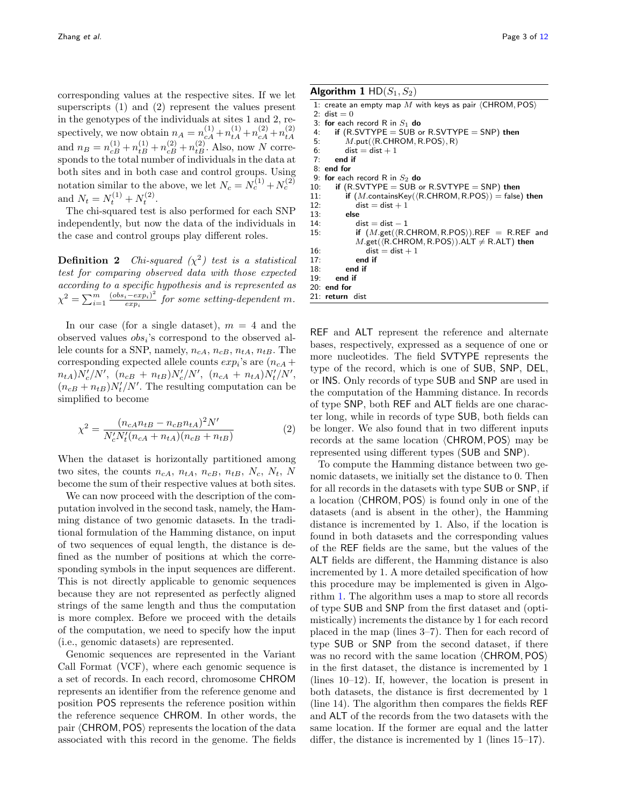corresponding values at the respective sites. If we let superscripts (1) and (2) represent the values present in the genotypes of the individuals at sites 1 and 2, respectively, we now obtain  $n_A = n_{cA}^{(1)} + n_{tA}^{(1)} + n_{cA}^{(2)} + n_{tA}^{(2)}$ tA and  $n_B = n_{cB}^{(1)} + n_{tB}^{(1)} + n_{cB}^{(2)} + n_{tB}^{(2)}$ . Also, now N corresponds to the total number of individuals in the data at both sites and in both case and control groups. Using notation similar to the above, we let  $N_c = N_c^{(1)} + N_c^{(2)}$ and  $N_t = N_t^{(1)} + N_t^{(2)}$ .

The chi-squared test is also performed for each SNP independently, but now the data of the individuals in the case and control groups play different roles.

**Definition 2** Chi-squared  $(\chi^2)$  test is a statistical test for comparing observed data with those expected according to a specific hypothesis and is represented as  $\chi^2 = \sum_{i=1}^m \frac{(obs_i - exp_i)^2}{exp_i}$  $\frac{e^{i}e^{i\theta}}{exp_{i}}$  for some setting-dependent m.

In our case (for a single dataset),  $m = 4$  and the observed values  $obs<sub>i</sub>$ 's correspond to the observed allele counts for a SNP, namely,  $n_{cA}, n_{cB}, n_{tA}, n_{tB}$ . The corresponding expected allele counts  $exp_i$ 's are  $(n_{cA} +$  $n_{tA}$ ) $N_c'/N'$ ,  $(n_{cB} + n_{tB})N_c'/N'$ ,  $(n_{cA} + n_{tA})N_t'/N'$ ,  $(n_{cB} + n_{tB})N_t'/N'$ . The resulting computation can be simplified to become

<span id="page-2-1"></span>
$$
\chi^2 = \frac{(n_{cA}n_{tB} - n_{cB}n_{tA})^2 N'}{N_c' N_t'(n_{cA} + n_{tA})(n_{cB} + n_{tB})}
$$
(2)

When the dataset is horizontally partitioned among two sites, the counts  $n_{cA}$ ,  $n_{tA}$ ,  $n_{cB}$ ,  $n_{tB}$ ,  $N_c$ ,  $N_t$ , N become the sum of their respective values at both sites.

We can now proceed with the description of the computation involved in the second task, namely, the Hamming distance of two genomic datasets. In the traditional formulation of the Hamming distance, on input of two sequences of equal length, the distance is defined as the number of positions at which the corresponding symbols in the input sequences are different. This is not directly applicable to genomic sequences because they are not represented as perfectly aligned strings of the same length and thus the computation is more complex. Before we proceed with the details of the computation, we need to specify how the input (i.e., genomic datasets) are represented.

Genomic sequences are represented in the Variant Call Format (VCF), where each genomic sequence is a set of records. In each record, chromosome CHROM represents an identifier from the reference genome and position POS represents the reference position within the reference sequence CHROM. In other words, the pair (CHROM, POS) represents the location of the data associated with this record in the genome. The fields

```
1: create an empty map M with keys as pair \langle CHROM, POS\rangle2: dist = 0<br>3: for each
 3: for each record R in S_1 do<br>4. if (R.SVTYPF = SUB of
        if (R.SVTYPE = SUB or R.SVTYPE = SNP) then
 5: M.\text{put}(\langle \text{R.CHROM}, \text{R.POS} \rangle, \text{R})<br>6: dist = dist + 1
           dist = dist + 17<sup>+</sup> end if
 8: end for<br>9: for each
    for each record R in S_2 do
10: if (R.SVTYPE = SUB or R.SVTYPE = SNP) then
11: if (M.\text{containsKey}(\langle R.\text{CHROM}, R.POS \rangle) = \text{false}) then
12: dist = dist + 113: else<br>14: d
               dist = dist - 115: if (M.get(\langle R.CHROM, R.POS \rangle).REF = R.REF and
               M.\text{get}(\langle R.CHROM, R.POS \rangle).ALT \neq R.ALT) then
16: dist = dist + 1
17: end if<br>18: end if
           end if
19: end if
20: end for
21: return dist
```
REF and ALT represent the reference and alternate bases, respectively, expressed as a sequence of one or more nucleotides. The field SVTYPE represents the type of the record, which is one of SUB, SNP, DEL, or INS. Only records of type SUB and SNP are used in the computation of the Hamming distance. In records of type SNP, both REF and ALT fields are one character long, while in records of type SUB, both fields can be longer. We also found that in two different inputs records at the same location  $\langle$  CHROM, POS $\rangle$  may be represented using different types (SUB and SNP).

To compute the Hamming distance between two genomic datasets, we initially set the distance to 0. Then for all records in the datasets with type SUB or SNP, if a location  $\langle$  CHROM, POS $\rangle$  is found only in one of the datasets (and is absent in the other), the Hamming distance is incremented by 1. Also, if the location is found in both datasets and the corresponding values of the REF fields are the same, but the values of the ALT fields are different, the Hamming distance is also incremented by 1. A more detailed specification of how this procedure may be implemented is given in Algorithm [1.](#page-2-0) The algorithm uses a map to store all records of type SUB and SNP from the first dataset and (optimistically) increments the distance by 1 for each record placed in the map (lines 3–7). Then for each record of type SUB or SNP from the second dataset, if there was no record with the same location  $\langle$  CHROM, POS $\rangle$ in the first dataset, the distance is incremented by 1 (lines 10–12). If, however, the location is present in both datasets, the distance is first decremented by 1 (line 14). The algorithm then compares the fields REF and ALT of the records from the two datasets with the same location. If the former are equal and the latter differ, the distance is incremented by 1 (lines 15–17).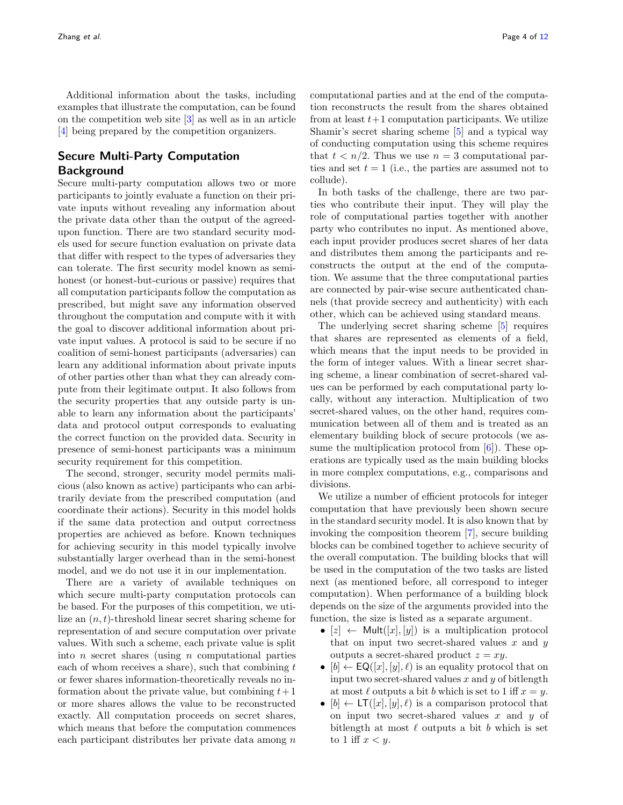Additional information about the tasks, including examples that illustrate the computation, can be found on the competition web site [\[3\]](#page-11-5) as well as in an article [\[4\]](#page-11-6) being prepared by the competition organizers.

# Secure Multi-Party Computation Background

Secure multi-party computation allows two or more participants to jointly evaluate a function on their private inputs without revealing any information about the private data other than the output of the agreedupon function. There are two standard security models used for secure function evaluation on private data that differ with respect to the types of adversaries they can tolerate. The first security model known as semihonest (or honest-but-curious or passive) requires that all computation participants follow the computation as prescribed, but might save any information observed throughout the computation and compute with it with the goal to discover additional information about private input values. A protocol is said to be secure if no coalition of semi-honest participants (adversaries) can learn any additional information about private inputs of other parties other than what they can already compute from their legitimate output. It also follows from the security properties that any outside party is unable to learn any information about the participants' data and protocol output corresponds to evaluating the correct function on the provided data. Security in presence of semi-honest participants was a minimum security requirement for this competition.

The second, stronger, security model permits malicious (also known as active) participants who can arbitrarily deviate from the prescribed computation (and coordinate their actions). Security in this model holds if the same data protection and output correctness properties are achieved as before. Known techniques for achieving security in this model typically involve substantially larger overhead than in the semi-honest model, and we do not use it in our implementation.

There are a variety of available techniques on which secure multi-party computation protocols can be based. For the purposes of this competition, we utilize an  $(n, t)$ -threshold linear secret sharing scheme for representation of and secure computation over private values. With such a scheme, each private value is split into  $n$  secret shares (using  $n$  computational parties each of whom receives a share), such that combining  $t$ or fewer shares information-theoretically reveals no information about the private value, but combining  $t+1$ or more shares allows the value to be reconstructed exactly. All computation proceeds on secret shares, which means that before the computation commences each participant distributes her private data among n computational parties and at the end of the computation reconstructs the result from the shares obtained from at least  $t+1$  computation participants. We utilize Shamir's secret sharing scheme [\[5\]](#page-11-7) and a typical way of conducting computation using this scheme requires that  $t < n/2$ . Thus we use  $n = 3$  computational parties and set  $t = 1$  (i.e., the parties are assumed not to collude).

In both tasks of the challenge, there are two parties who contribute their input. They will play the role of computational parties together with another party who contributes no input. As mentioned above, each input provider produces secret shares of her data and distributes them among the participants and reconstructs the output at the end of the computation. We assume that the three computational parties are connected by pair-wise secure authenticated channels (that provide secrecy and authenticity) with each other, which can be achieved using standard means.

The underlying secret sharing scheme [\[5\]](#page-11-7) requires that shares are represented as elements of a field, which means that the input needs to be provided in the form of integer values. With a linear secret sharing scheme, a linear combination of secret-shared values can be performed by each computational party locally, without any interaction. Multiplication of two secret-shared values, on the other hand, requires communication between all of them and is treated as an elementary building block of secure protocols (we assume the multiplication protocol from  $[6]$ ). These operations are typically used as the main building blocks in more complex computations, e.g., comparisons and divisions.

We utilize a number of efficient protocols for integer computation that have previously been shown secure in the standard security model. It is also known that by invoking the composition theorem [\[7\]](#page-11-9), secure building blocks can be combined together to achieve security of the overall computation. The building blocks that will be used in the computation of the two tasks are listed next (as mentioned before, all correspond to integer computation). When performance of a building block depends on the size of the arguments provided into the function, the size is listed as a separate argument.

- $[z] \leftarrow$  Mult $([x], [y])$  is a multiplication protocol that on input two secret-shared values  $x$  and  $y$ outputs a secret-shared product  $z = xy$ .
- $[b] \leftarrow \mathsf{EQ}([x], [y], \ell)$  is an equality protocol that on input two secret-shared values  $x$  and  $y$  of bitlength at most  $\ell$  outputs a bit b which is set to 1 iff  $x = y$ .
- $[b] \leftarrow \mathsf{LT}([x], [y], \ell)$  is a comparison protocol that on input two secret-shared values  $x$  and  $y$  of bitlength at most  $\ell$  outputs a bit b which is set to 1 iff  $x < y$ .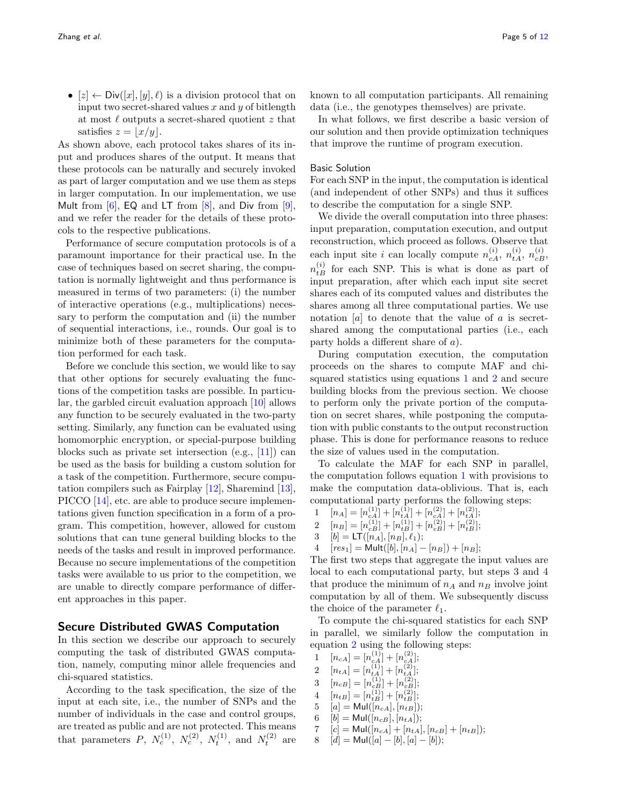•  $[z] \leftarrow Div([x], [y], \ell)$  is a division protocol that on input two secret-shared values  $x$  and  $y$  of bitlength at most  $\ell$  outputs a secret-shared quotient z that satisfies  $z = |x/y|$ .

As shown above, each protocol takes shares of its input and produces shares of the output. It means that these protocols can be naturally and securely invoked as part of larger computation and we use them as steps in larger computation. In our implementation, we use Mult from  $[6]$ , EQ and LT from  $[8]$ , and Div from  $[9]$ . and we refer the reader for the details of these protocols to the respective publications.

Performance of secure computation protocols is of a paramount importance for their practical use. In the case of techniques based on secret sharing, the computation is normally lightweight and thus performance is measured in terms of two parameters: (i) the number of interactive operations (e.g., multiplications) necessary to perform the computation and (ii) the number of sequential interactions, i.e., rounds. Our goal is to minimize both of these parameters for the computation performed for each task.

Before we conclude this section, we would like to say that other options for securely evaluating the functions of the competition tasks are possible. In particular, the garbled circuit evaluation approach [\[10\]](#page-11-12) allows any function to be securely evaluated in the two-party setting. Similarly, any function can be evaluated using homomorphic encryption, or special-purpose building blocks such as private set intersection (e.g., [\[11\]](#page-11-13)) can be used as the basis for building a custom solution for a task of the competition. Furthermore, secure computation compilers such as Fairplay [\[12\]](#page-11-14), Sharemind [\[13\]](#page-11-15), PICCO [\[14\]](#page-11-16), etc. are able to produce secure implementations given function specification in a form of a program. This competition, however, allowed for custom solutions that can tune general building blocks to the needs of the tasks and result in improved performance. Because no secure implementations of the competition tasks were available to us prior to the competition, we are unable to directly compare performance of different approaches in this paper.

## Secure Distributed GWAS Computation

In this section we describe our approach to securely computing the task of distributed GWAS computation, namely, computing minor allele frequencies and chi-squared statistics.

According to the task specification, the size of the input at each site, i.e., the number of SNPs and the number of individuals in the case and control groups, are treated as public and are not protected. This means that parameters P,  $N_c^{(1)}$ ,  $N_c^{(2)}$ ,  $N_t^{(1)}$ , and  $N_t^{(2)}$  are

known to all computation participants. All remaining data (i.e., the genotypes themselves) are private.

In what follows, we first describe a basic version of our solution and then provide optimization techniques that improve the runtime of program execution.

#### Basic Solution

For each SNP in the input, the computation is identical (and independent of other SNPs) and thus it suffices to describe the computation for a single SNP.

We divide the overall computation into three phases: input preparation, computation execution, and output reconstruction, which proceed as follows. Observe that each input site *i* can locally compute  $n_{c}^{(i)}$ ,  $n_{t}^{(i)}$ ,  $n_{c}^{(i)}$ ,  $n_{c}^{(i)}$  $n_{tB}^{(i)}$  for each SNP. This is what is done as part of input preparation, after which each input site secret shares each of its computed values and distributes the shares among all three computational parties. We use notation  $[a]$  to denote that the value of a is secretshared among the computational parties (i.e., each party holds a different share of a).

During computation execution, the computation proceeds on the shares to compute MAF and chisquared statistics using equations [1](#page-1-1) and [2](#page-2-1) and secure building blocks from the previous section. We choose to perform only the private portion of the computation on secret shares, while postponing the computation with public constants to the output reconstruction phase. This is done for performance reasons to reduce the size of values used in the computation.

To calculate the MAF for each SNP in parallel, the computation follows equation [1](#page-1-1) with provisions to make the computation data-oblivious. That is, each computational party performs the following steps:

1  $[n_A] = [n_{cA}^{(1)}] + [n_{tA}^{(1)}] + [n_{cA}^{(2)}] + [n_{tA}^{(2)}];$ <br>2  $[n_{cA}^{(1)}] = [n_{cA}^{(1)}] + [n_{cA}^{(2)}] + [n_{cA}^{(2)}]$ 

$$
2 \quad [n_B] = [n_{cB}^{(1)}] + [n_{tB}^{(1)}] + [n_{cB}^{(2)}] + [n_{tB}^{(2)}];
$$

- 3  $[b] = LT([n_A], [n_B], \ell_1);$
- 4  $[res_1] = Mult([b], [n_A] [n_B]) + [n_B];$

The first two steps that aggregate the input values are local to each computational party, but steps 3 and 4 that produce the minimum of  $n_A$  and  $n_B$  involve joint computation by all of them. We subsequently discuss the choice of the parameter  $\ell_1$ .

To compute the chi-squared statistics for each SNP in parallel, we similarly follow the computation in equation [2](#page-2-1) using the following steps:

- 1  $[n_{cA}] = [n_{cA}^{(1)}] + [n_{cA}^{(2)}];$ 2  $[n_{tA}] = [n_{tA}^{(1)}] + [n_{tA}^{(2)}];$ 3  $[n_{cB}] = [n_{cB}^{(1)}] + [n_{cB}^{(2)}];$ 4  $[n_{tB}] = [n_{tB}^{(1)}] + [n_{tB}^{(2)}];$ 5  $[a] = \text{Mul}([n_{cA}], [n_{tB}])$ ; 6  $[b] = \text{Mul}([n_{cB}], [n_{tA}]);$ 7  $[c] = Mult([n_{cA}] + [n_{tA}], [n_{cB}] + [n_{tB}]);$
- 8  $[d] = Mult([a] [b], [a] [b]);$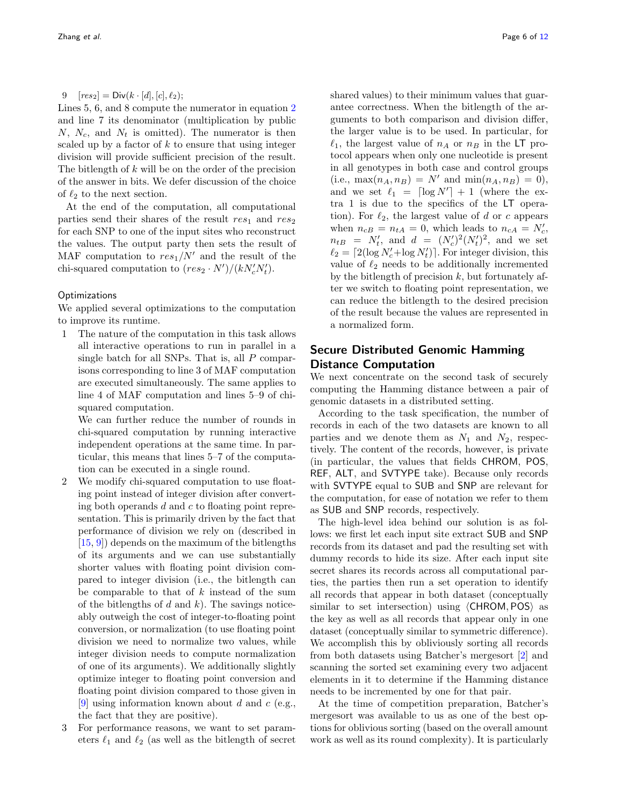Lines 5, 6, and 8 compute the numerator in equation [2](#page-2-1) and line 7 its denominator (multiplication by public  $N, N_c$ , and  $N_t$  is omitted). The numerator is then scaled up by a factor of  $k$  to ensure that using integer division will provide sufficient precision of the result. The bitlength of k will be on the order of the precision of the answer in bits. We defer discussion of the choice of  $\ell_2$  to the next section.

At the end of the computation, all computational parties send their shares of the result  $res_1$  and  $res_2$ for each SNP to one of the input sites who reconstruct the values. The output party then sets the result of MAF computation to  $res_1/N'$  and the result of the chi-squared computation to  $(res_2 \cdot N')/(kN_c'N_t')$ .

#### **Optimizations**

We applied several optimizations to the computation to improve its runtime.

1 The nature of the computation in this task allows all interactive operations to run in parallel in a single batch for all SNPs. That is, all  $P$  comparisons corresponding to line 3 of MAF computation are executed simultaneously. The same applies to line 4 of MAF computation and lines 5–9 of chisquared computation.

We can further reduce the number of rounds in chi-squared computation by running interactive independent operations at the same time. In particular, this means that lines 5–7 of the computation can be executed in a single round.

- 2 We modify chi-squared computation to use floating point instead of integer division after converting both operands  $d$  and  $c$  to floating point representation. This is primarily driven by the fact that performance of division we rely on (described in [\[15,](#page-11-17) [9\]](#page-11-11)) depends on the maximum of the bitlengths of its arguments and we can use substantially shorter values with floating point division compared to integer division (i.e., the bitlength can be comparable to that of  $k$  instead of the sum of the bitlengths of d and  $k$ ). The savings noticeably outweigh the cost of integer-to-floating point conversion, or normalization (to use floating point division we need to normalize two values, while integer division needs to compute normalization of one of its arguments). We additionally slightly optimize integer to floating point conversion and floating point division compared to those given in [\[9\]](#page-11-11) using information known about d and c (e.g., the fact that they are positive).
- 3 For performance reasons, we want to set parameters  $\ell_1$  and  $\ell_2$  (as well as the bitlength of secret

Zhang et al. Page 6 of [12](#page-11-4)

shared values) to their minimum values that guarantee correctness. When the bitlength of the arguments to both comparison and division differ, the larger value is to be used. In particular, for  $\ell_1$ , the largest value of  $n_A$  or  $n_B$  in the LT protocol appears when only one nucleotide is present in all genotypes in both case and control groups (i.e.,  $\max(n_A, n_B) = N'$  and  $\min(n_A, n_B) = 0$ ), and we set  $\ell_1 = \lceil \log N' \rceil + 1$  (where the extra 1 is due to the specifics of the LT operation). For  $\ell_2$ , the largest value of d or c appears when  $n_{cB} = n_{tA} = 0$ , which leads to  $n_{cA} = N_c'$ ,  $n_{tB} = N'_t$ , and  $d = (N'_c)^2 (N'_t)^2$ , and we set  $\ell_2 = \lceil 2(\log N_c' + \log N_t') \rceil$ . For integer division, this value of  $\ell_2$  needs to be additionally incremented by the bitlength of precision  $k$ , but fortunately after we switch to floating point representation, we can reduce the bitlength to the desired precision of the result because the values are represented in a normalized form.

# Secure Distributed Genomic Hamming Distance Computation

We next concentrate on the second task of securely computing the Hamming distance between a pair of genomic datasets in a distributed setting.

According to the task specification, the number of records in each of the two datasets are known to all parties and we denote them as  $N_1$  and  $N_2$ , respectively. The content of the records, however, is private (in particular, the values that fields CHROM, POS, REF, ALT, and SVTYPE take). Because only records with SVTYPE equal to SUB and SNP are relevant for the computation, for ease of notation we refer to them as SUB and SNP records, respectively.

The high-level idea behind our solution is as follows: we first let each input site extract SUB and SNP records from its dataset and pad the resulting set with dummy records to hide its size. After each input site secret shares its records across all computational parties, the parties then run a set operation to identify all records that appear in both dataset (conceptually similar to set intersection) using  $\langle$  CHROM, POS $\rangle$  as the key as well as all records that appear only in one dataset (conceptually similar to symmetric difference). We accomplish this by obliviously sorting all records from both datasets using Batcher's mergesort [\[2\]](#page-11-3) and scanning the sorted set examining every two adjacent elements in it to determine if the Hamming distance needs to be incremented by one for that pair.

At the time of competition preparation, Batcher's mergesort was available to us as one of the best options for oblivious sorting (based on the overall amount work as well as its round complexity). It is particularly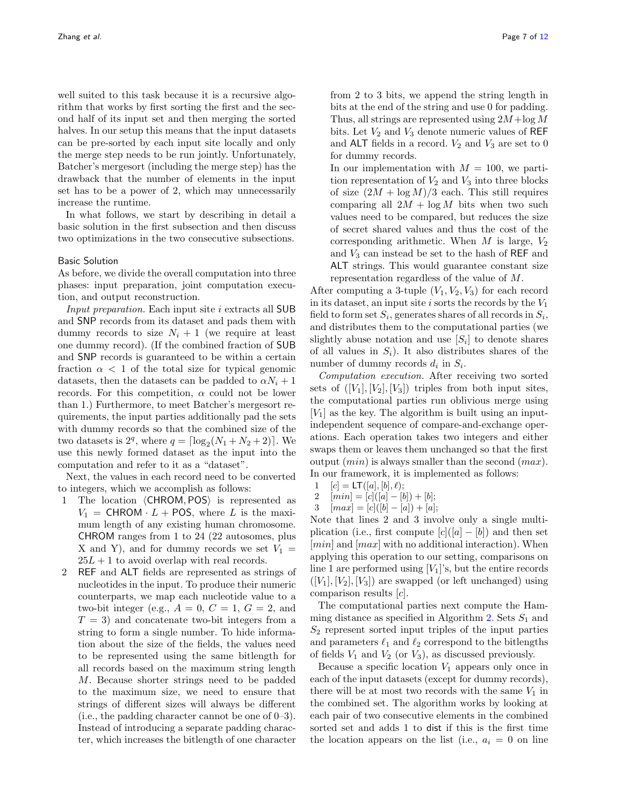well suited to this task because it is a recursive algorithm that works by first sorting the first and the second half of its input set and then merging the sorted halves. In our setup this means that the input datasets

can be pre-sorted by each input site locally and only the merge step needs to be run jointly. Unfortunately, Batcher's mergesort (including the merge step) has the drawback that the number of elements in the input set has to be a power of 2, which may unnecessarily increase the runtime.

In what follows, we start by describing in detail a basic solution in the first subsection and then discuss two optimizations in the two consecutive subsections.

#### Basic Solution

As before, we divide the overall computation into three phases: input preparation, joint computation execution, and output reconstruction.

Input preparation. Each input site i extracts all SUB and SNP records from its dataset and pads them with dummy records to size  $N_i + 1$  (we require at least one dummy record). (If the combined fraction of SUB and SNP records is guaranteed to be within a certain fraction  $\alpha$  < 1 of the total size for typical genomic datasets, then the datasets can be padded to  $\alpha N_i + 1$ records. For this competition,  $\alpha$  could not be lower than 1.) Furthermore, to meet Batcher's mergesort requirements, the input parties additionally pad the sets with dummy records so that the combined size of the two datasets is  $2^q$ , where  $q = \lceil \log_2(N_1 + N_2 + 2) \rceil$ . We use this newly formed dataset as the input into the computation and refer to it as a "dataset".

Next, the values in each record need to be converted to integers, which we accomplish as follows:

- 1 The location  $\langle$  CHROM, POS $\rangle$  is represented as  $V_1$  = CHROM  $\cdot$  L + POS, where L is the maximum length of any existing human chromosome. CHROM ranges from 1 to 24 (22 autosomes, plus X and Y), and for dummy records we set  $V_1$  =  $25L + 1$  to avoid overlap with real records.
- 2 REF and ALT fields are represented as strings of nucleotides in the input. To produce their numeric counterparts, we map each nucleotide value to a two-bit integer (e.g.,  $A = 0$ ,  $C = 1$ ,  $G = 2$ , and  $T = 3$ ) and concatenate two-bit integers from a string to form a single number. To hide information about the size of the fields, the values need to be represented using the same bitlength for all records based on the maximum string length M. Because shorter strings need to be padded to the maximum size, we need to ensure that strings of different sizes will always be different (i.e., the padding character cannot be one of 0–3). Instead of introducing a separate padding character, which increases the bitlength of one character

from 2 to 3 bits, we append the string length in bits at the end of the string and use 0 for padding. Thus, all strings are represented using  $2M + \log M$ bits. Let  $V_2$  and  $V_3$  denote numeric values of REF and ALT fields in a record.  $V_2$  and  $V_3$  are set to 0 for dummy records.

In our implementation with  $M = 100$ , we partition representation of  $V_2$  and  $V_3$  into three blocks of size  $(2M + \log M)/3$  each. This still requires comparing all  $2M + \log M$  bits when two such values need to be compared, but reduces the size of secret shared values and thus the cost of the corresponding arithmetic. When  $M$  is large,  $V_2$ and  $V_3$  can instead be set to the hash of REF and ALT strings. This would guarantee constant size representation regardless of the value of M.

After computing a 3-tuple  $(V_1, V_2, V_3)$  for each record in its dataset, an input site i sorts the records by the  $V_1$ field to form set  $S_i$ , generates shares of all records in  $S_i$ , and distributes them to the computational parties (we slightly abuse notation and use  $[S_i]$  to denote shares of all values in  $S_i$ ). It also distributes shares of the number of dummy records  $d_i$  in  $S_i$ .

Computation execution. After receiving two sorted sets of  $([V_1], [V_2], [V_3])$  triples from both input sites, the computational parties run oblivious merge using  $[V_1]$  as the key. The algorithm is built using an inputindependent sequence of compare-and-exchange operations. Each operation takes two integers and either swaps them or leaves them unchanged so that the first output  $(min)$  is always smaller than the second  $(max)$ . In our framework, it is implemented as follows:

- 1  $[c] = LT([a], [b], \ell);$
- 2  $[min] = [c]([a] [b]) + [b];$
- 3  $[max] = [c]([b] [a]) + [a];$

Note that lines 2 and 3 involve only a single multiplication (i.e., first compute  $[c]([a] - [b])$  and then set  $[min]$  and  $[max]$  with no additional interaction). When applying this operation to our setting, comparisons on line 1 are performed using  $[V_1]$ 's, but the entire records  $([V_1], [V_2], [V_3])$  are swapped (or left unchanged) using comparison results [c].

The computational parties next compute the Ham-ming distance as specified in Algorithm [2.](#page-7-0) Sets  $S_1$  and  $S_2$  represent sorted input triples of the input parties and parameters  $\ell_1$  and  $\ell_2$  correspond to the bitlengths of fields  $V_1$  and  $V_2$  (or  $V_3$ ), as discussed previously.

Because a specific location  $V_1$  appears only once in each of the input datasets (except for dummy records), there will be at most two records with the same  $V_1$  in the combined set. The algorithm works by looking at each pair of two consecutive elements in the combined sorted set and adds 1 to dist if this is the first time the location appears on the list (i.e.,  $a_i = 0$  on line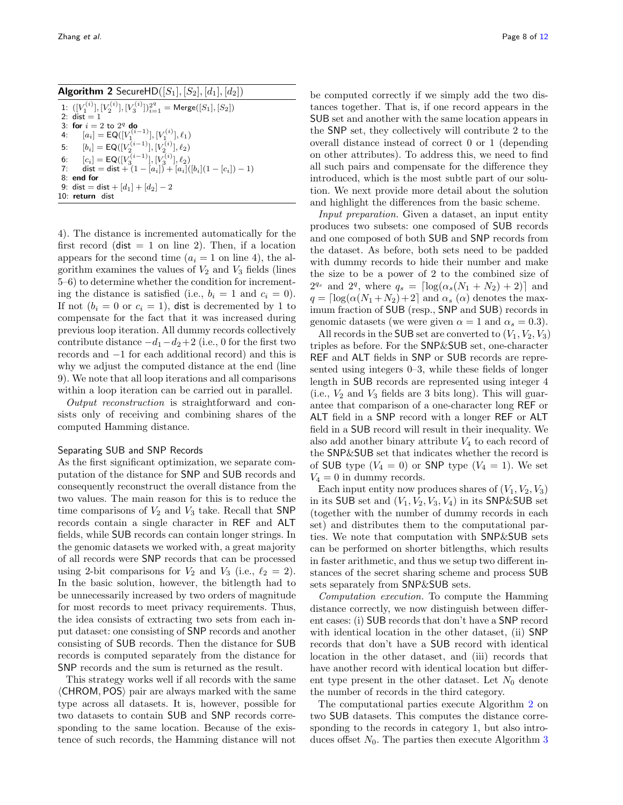**Algorithm 2** SecureHD $([S_1], [S_2], [d_1], [d_2])$ 

<span id="page-7-0"></span>

|    | 1: $([V_1^{(i)}], [V_2^{(i)}], [V_3^{(i)}])_{i=1}^{2^q} = \text{Merge}([S_1], [S_2])$ |
|----|---------------------------------------------------------------------------------------|
|    | $2 \cdot$ dist = 1                                                                    |
|    | 3: for $i = 2$ to $2q$ do                                                             |
| 4: | $[a_i]$ = EQ([ $V_1^{(i-1)}$ ], [ $V_1^{(i)}$ ], $\ell_1$ )                           |
|    | 5: $[b_i] = \mathsf{EQ}([V_2^{(i-1)}], [V_2^{(i)}], \ell_2)$                          |
|    | 6: $[c_i] = \mathsf{EQ}([V_3^{(i-1)}], [V_3^{(i)}], \ell_2)$                          |
|    | 7: dist = dist + $(1 - [a_i]) + [a_i]([b_i](1 - [c_i]) - 1)$                          |
|    | $8:$ end for                                                                          |
|    | 9: dist = dist + $[d_1]$ + $[d_2]$ - 2                                                |
|    | 10: return dist                                                                       |

4). The distance is incremented automatically for the first record (dist  $= 1$  on line 2). Then, if a location appears for the second time  $(a_i = 1 \text{ on line 4})$ , the algorithm examines the values of  $V_2$  and  $V_3$  fields (lines 5–6) to determine whether the condition for incrementing the distance is satisfied (i.e.,  $b_i = 1$  and  $c_i = 0$ ). If not  $(b_i = 0 \text{ or } c_i = 1)$ , dist is decremented by 1 to compensate for the fact that it was increased during previous loop iteration. All dummy records collectively contribute distance  $-d_1-d_2+2$  (i.e., 0 for the first two records and −1 for each additional record) and this is why we adjust the computed distance at the end (line 9). We note that all loop iterations and all comparisons within a loop iteration can be carried out in parallel.

Output reconstruction is straightforward and consists only of receiving and combining shares of the computed Hamming distance.

#### Separating SUB and SNP Records

As the first significant optimization, we separate computation of the distance for SNP and SUB records and consequently reconstruct the overall distance from the two values. The main reason for this is to reduce the time comparisons of  $V_2$  and  $V_3$  take. Recall that SNP records contain a single character in REF and ALT fields, while SUB records can contain longer strings. In the genomic datasets we worked with, a great majority of all records were SNP records that can be processed using 2-bit comparisons for  $V_2$  and  $V_3$  (i.e.,  $\ell_2 = 2$ ). In the basic solution, however, the bitlength had to be unnecessarily increased by two orders of magnitude for most records to meet privacy requirements. Thus, the idea consists of extracting two sets from each input dataset: one consisting of SNP records and another consisting of SUB records. Then the distance for SUB records is computed separately from the distance for SNP records and the sum is returned as the result.

This strategy works well if all records with the same  $\langle$  CHROM, POS $\rangle$  pair are always marked with the same type across all datasets. It is, however, possible for two datasets to contain SUB and SNP records corresponding to the same location. Because of the existence of such records, the Hamming distance will not be computed correctly if we simply add the two distances together. That is, if one record appears in the SUB set and another with the same location appears in the SNP set, they collectively will contribute 2 to the overall distance instead of correct 0 or 1 (depending on other attributes). To address this, we need to find all such pairs and compensate for the difference they introduced, which is the most subtle part of our solution. We next provide more detail about the solution and highlight the differences from the basic scheme.

Input preparation. Given a dataset, an input entity produces two subsets: one composed of SUB records and one composed of both SUB and SNP records from the dataset. As before, both sets need to be padded with dummy records to hide their number and make the size to be a power of 2 to the combined size of  $2^{q_s}$  and  $2^q$ , where  $q_s = \lceil \log(\alpha_s(N_1 + N_2) + 2) \rceil$  and  $q = \lceil \log(\alpha(N_1 + N_2) + 2] \text{ and } \alpha_s(\alpha) \text{ denotes the max-}$ imum fraction of SUB (resp., SNP and SUB) records in genomic datasets (we were given  $\alpha = 1$  and  $\alpha_s = 0.3$ ).

All records in the SUB set are converted to  $(V_1, V_2, V_3)$ triples as before. For the SNP&SUB set, one-character REF and ALT fields in SNP or SUB records are represented using integers 0–3, while these fields of longer length in SUB records are represented using integer 4 (i.e.,  $V_2$  and  $V_3$  fields are 3 bits long). This will guarantee that comparison of a one-character long REF or ALT field in a SNP record with a longer REF or ALT field in a SUB record will result in their inequality. We also add another binary attribute  $V_4$  to each record of the SNP&SUB set that indicates whether the record is of SUB type  $(V_4 = 0)$  or SNP type  $(V_4 = 1)$ . We set  $V_4 = 0$  in dummy records.

Each input entity now produces shares of  $(V_1, V_2, V_3)$ in its SUB set and  $(V_1, V_2, V_3, V_4)$  in its SNP&SUB set (together with the number of dummy records in each set) and distributes them to the computational parties. We note that computation with SNP&SUB sets can be performed on shorter bitlengths, which results in faster arithmetic, and thus we setup two different instances of the secret sharing scheme and process SUB sets separately from SNP&SUB sets.

Computation execution. To compute the Hamming distance correctly, we now distinguish between different cases: (i) SUB records that don't have a SNP record with identical location in the other dataset, (ii) SNP records that don't have a SUB record with identical location in the other dataset, and (iii) records that have another record with identical location but different type present in the other dataset. Let  $N_0$  denote the number of records in the third category.

The computational parties execute Algorithm [2](#page-7-0) on two SUB datasets. This computes the distance corresponding to the records in category 1, but also introduces offset  $N_0$ . The parties then execute Algorithm [3](#page-8-0)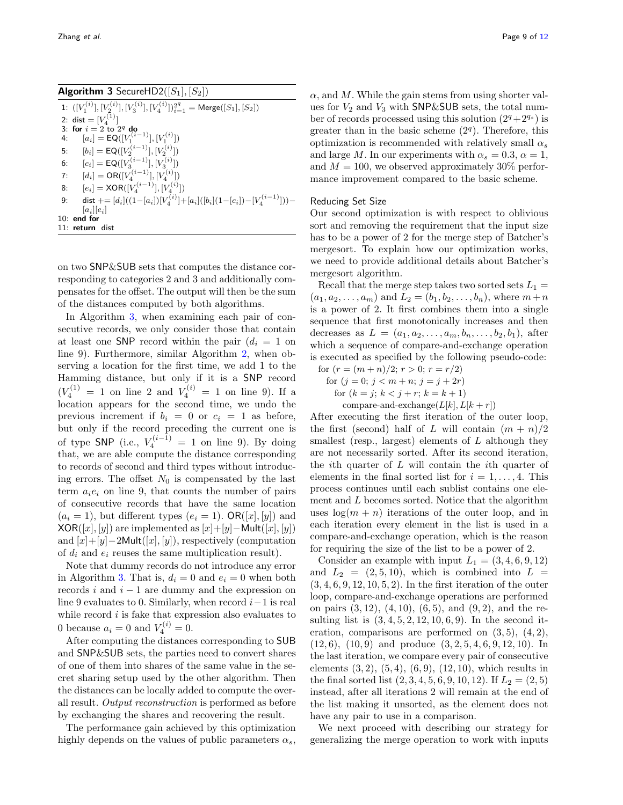<span id="page-8-0"></span>

| <b>Algorithm 3</b> SecureHD2( $[S_1], [S_2]$ )                                                     |  |
|----------------------------------------------------------------------------------------------------|--|
| 1: $([V_1^{(i)}], [V_2^{(i)}], [V_3^{(i)}], [V_4^{(i)}])_{i=1}^{2^q} = \text{Merge}([S_1], [S_2])$ |  |
| 2: dist = $[V_4^{(1)}]$                                                                            |  |
| 3: for $i = 2$ to $2q$ do                                                                          |  |
| $[a_i] = \mathsf{EQ}([V_1^{(i-1)}], [V_1^{(i)}])$<br>4:                                            |  |
| $[b_i] = \mathsf{EQ}([V_2^{(i-1)}], [V_2^{(i)}])$<br>5:                                            |  |
| $[c_i] = \mathsf{EQ}([V_3^{(i-1)}], [V_3^{(i)}])$<br>6:                                            |  |
| $[d_i] = OR([V_4^{(i-1)}], [V_4^{(i)}])$<br>7:                                                     |  |
| $[e_i] = XOR([V_4^{(i-1)}], [V_4^{(i)}])$<br>8:                                                    |  |
| dist $+= [d_i]((1-[a_i])[V_A^{(i)}]+[a_i]([b_i](1-[c_i])-[V_A^{(i-1)}]))-$<br>9:                   |  |
| $[a_i][e_i]$                                                                                       |  |
| $10:$ end for                                                                                      |  |
| $11:$ return dist                                                                                  |  |

on two SNP&SUB sets that computes the distance corresponding to categories 2 and 3 and additionally compensates for the offset. The output will then be the sum of the distances computed by both algorithms.

In Algorithm [3,](#page-8-0) when examining each pair of consecutive records, we only consider those that contain at least one SNP record within the pair  $(d_i = 1)$  on line 9). Furthermore, similar Algorithm [2,](#page-7-0) when observing a location for the first time, we add 1 to the Hamming distance, but only if it is a SNP record  $(V_4^{(1)} = 1 \text{ on line } 2 \text{ and } V_4^{(i)} = 1 \text{ on line } 9).$  If a location appears for the second time, we undo the previous increment if  $b_i = 0$  or  $c_i = 1$  as before, but only if the record preceding the current one is of type SNP (i.e.,  $V_4^{(i-1)} = 1$  on line 9). By doing that, we are able compute the distance corresponding to records of second and third types without introducing errors. The offset  $N_0$  is compensated by the last term  $a_i e_i$  on line 9, that counts the number of pairs of consecutive records that have the same location  $(a_i = 1)$ , but different types  $(e_i = 1)$ . OR $([x], [y])$  and  $XOR([x], [y])$  are implemented as  $[x]+[y]-Mult([x], [y])$ and  $[x]+[y]-2$ Mult $([x],[y])$ , respectively (computation of  $d_i$  and  $e_i$  reuses the same multiplication result).

Note that dummy records do not introduce any error in Algorithm [3.](#page-8-0) That is,  $d_i = 0$  and  $e_i = 0$  when both records  $i$  and  $i - 1$  are dummy and the expression on line 9 evaluates to 0. Similarly, when record  $i-1$  is real while record  $i$  is fake that expression also evaluates to 0 because  $a_i = 0$  and  $V_4^{(i)} = 0$ .

After computing the distances corresponding to SUB and SNP&SUB sets, the parties need to convert shares of one of them into shares of the same value in the secret sharing setup used by the other algorithm. Then the distances can be locally added to compute the overall result. Output reconstruction is performed as before by exchanging the shares and recovering the result.

The performance gain achieved by this optimization highly depends on the values of public parameters  $\alpha_s$ ,

 $\alpha$ , and M. While the gain stems from using shorter values for  $V_2$  and  $V_3$  with SNP&SUB sets, the total number of records processed using this solution  $(2^q+2^{q_s})$  is greater than in the basic scheme  $(2<sup>q</sup>)$ . Therefore, this optimization is recommended with relatively small  $\alpha_s$ and large M. In our experiments with  $\alpha_s = 0.3$ ,  $\alpha = 1$ , and  $M = 100$ , we observed approximately 30% performance improvement compared to the basic scheme.

#### Reducing Set Size

Our second optimization is with respect to oblivious sort and removing the requirement that the input size has to be a power of 2 for the merge step of Batcher's mergesort. To explain how our optimization works, we need to provide additional details about Batcher's mergesort algorithm.

Recall that the merge step takes two sorted sets  $L_1 =$  $(a_1, a_2, \ldots, a_m)$  and  $L_2 = (b_1, b_2, \ldots, b_n)$ , where  $m+n$ is a power of 2. It first combines them into a single sequence that first monotonically increases and then decreases as  $L = (a_1, a_2, \ldots, a_m, b_n, \ldots, b_2, b_1)$ , after which a sequence of compare-and-exchange operation is executed as specified by the following pseudo-code:

for  $(r = (m+n)/2; r > 0; r = r/2)$ for  $(j = 0; j < m + n; j = j + 2r)$ 

for  $(k = j; k < j + r; k = k + 1)$ 

compare-and-exchange $(L[k], L[k+r])$ 

After executing the first iteration of the outer loop, the first (second) half of L will contain  $(m + n)/2$ smallest (resp., largest) elements of  $L$  although they are not necessarily sorted. After its second iteration, the *i*th quarter of  $L$  will contain the *i*<sup>th</sup> quarter of elements in the final sorted list for  $i = 1, \ldots, 4$ . This process continues until each sublist contains one element and L becomes sorted. Notice that the algorithm uses  $\log(m + n)$  iterations of the outer loop, and in each iteration every element in the list is used in a compare-and-exchange operation, which is the reason for requiring the size of the list to be a power of 2.

Consider an example with input  $L_1 = (3, 4, 6, 9, 12)$ and  $L_2 = (2, 5, 10)$ , which is combined into  $L =$  $(3, 4, 6, 9, 12, 10, 5, 2)$ . In the first iteration of the outer loop, compare-and-exchange operations are performed on pairs  $(3, 12)$ ,  $(4, 10)$ ,  $(6, 5)$ , and  $(9, 2)$ , and the resulting list is  $(3, 4, 5, 2, 12, 10, 6, 9)$ . In the second iteration, comparisons are performed on  $(3, 5)$ ,  $(4, 2)$ ,  $(12, 6), (10, 9)$  and produce  $(3, 2, 5, 4, 6, 9, 12, 10)$ . In the last iteration, we compare every pair of consecutive elements  $(3, 2), (5, 4), (6, 9), (12, 10),$  which results in the final sorted list  $(2, 3, 4, 5, 6, 9, 10, 12)$ . If  $L_2 = (2, 5)$ instead, after all iterations 2 will remain at the end of the list making it unsorted, as the element does not have any pair to use in a comparison.

We next proceed with describing our strategy for generalizing the merge operation to work with inputs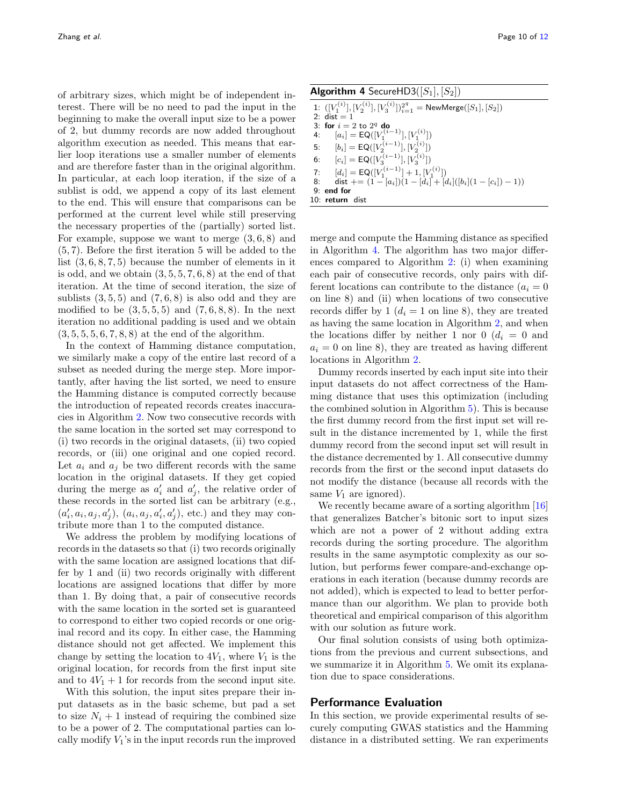of arbitrary sizes, which might be of independent interest. There will be no need to pad the input in the beginning to make the overall input size to be a power of 2, but dummy records are now added throughout algorithm execution as needed. This means that earlier loop iterations use a smaller number of elements and are therefore faster than in the original algorithm. In particular, at each loop iteration, if the size of a sublist is odd, we append a copy of its last element to the end. This will ensure that comparisons can be performed at the current level while still preserving the necessary properties of the (partially) sorted list. For example, suppose we want to merge  $(3, 6, 8)$  and (5, 7). Before the first iteration 5 will be added to the list  $(3, 6, 8, 7, 5)$  because the number of elements in it is odd, and we obtain  $(3, 5, 5, 7, 6, 8)$  at the end of that iteration. At the time of second iteration, the size of sublists  $(3, 5, 5)$  and  $(7, 6, 8)$  is also odd and they are modified to be  $(3, 5, 5, 5)$  and  $(7, 6, 8, 8)$ . In the next iteration no additional padding is used and we obtain  $(3, 5, 5, 5, 6, 7, 8, 8)$  at the end of the algorithm.

In the context of Hamming distance computation, we similarly make a copy of the entire last record of a subset as needed during the merge step. More importantly, after having the list sorted, we need to ensure the Hamming distance is computed correctly because the introduction of repeated records creates inaccuracies in Algorithm [2.](#page-7-0) Now two consecutive records with the same location in the sorted set may correspond to (i) two records in the original datasets, (ii) two copied records, or (iii) one original and one copied record. Let  $a_i$  and  $a_j$  be two different records with the same location in the original datasets. If they get copied during the merge as  $a'_i$  and  $a'_j$ , the relative order of these records in the sorted list can be arbitrary (e.g.,  $(a'_i, a_i, a_j, a'_j), (a_i, a_j, a'_i, a'_j),$  etc.) and they may contribute more than 1 to the computed distance.

We address the problem by modifying locations of records in the datasets so that (i) two records originally with the same location are assigned locations that differ by 1 and (ii) two records originally with different locations are assigned locations that differ by more than 1. By doing that, a pair of consecutive records with the same location in the sorted set is guaranteed to correspond to either two copied records or one original record and its copy. In either case, the Hamming distance should not get affected. We implement this change by setting the location to  $4V_1$ , where  $V_1$  is the original location, for records from the first input site and to  $4V_1 + 1$  for records from the second input site.

With this solution, the input sites prepare their input datasets as in the basic scheme, but pad a set to size  $N_i + 1$  instead of requiring the combined size to be a power of 2. The computational parties can locally modify  $V_1$ 's in the input records run the improved

zhang et al. Page 10 of [12](#page-11-4)

**Algorithm 4** SecureHD3( $[S_1], [S_2]$ )

<span id="page-9-0"></span> $1\colon\thinspace ([V^{(i)}_1], [V^{(i)}_2], [V^{(i)}_3])_{i=1}^{2^q} = \mathsf{NewMerge}([S_1], [S_2])$ 2:  $dist = 1$ 3: for  $i = 2$  to  $2^q$  do 4:  $[a_i] = \mathsf{EQ}([V_1^{(i-1)}], [V_1^{(i)}])$ 5:  $[b_i] = \textsf{EQ}([V_2^{(i-1)}], [V_2^{(i)}])$ 6:  $[c_i] = \mathsf{EQ}([V_3^{(i-1)}], [V_3^{(i)}])$ 7:  $[d_i] = \mathsf{EQ}([V_1^{(i-1)}] + 1, [V_1^{(i)}])$ 8: dist  $+= (1 - [a_i])(1 - [d_i] + [d_i]([b_i](1 - [c_i]) - 1))$ 9: end for 10: return dist

merge and compute the Hamming distance as specified in Algorithm [4.](#page-9-0) The algorithm has two major differences compared to Algorithm [2:](#page-7-0) (i) when examining each pair of consecutive records, only pairs with different locations can contribute to the distance  $(a_i = 0)$ on line 8) and (ii) when locations of two consecutive records differ by 1  $(d_i = 1 \text{ on line 8})$ , they are treated as having the same location in Algorithm [2,](#page-7-0) and when the locations differ by neither 1 nor 0  $(d_i = 0$  and  $a_i = 0$  on line 8), they are treated as having different locations in Algorithm [2.](#page-7-0)

Dummy records inserted by each input site into their input datasets do not affect correctness of the Hamming distance that uses this optimization (including the combined solution in Algorithm [5\)](#page-10-0). This is because the first dummy record from the first input set will result in the distance incremented by 1, while the first dummy record from the second input set will result in the distance decremented by 1. All consecutive dummy records from the first or the second input datasets do not modify the distance (because all records with the same  $V_1$  are ignored).

We recently became aware of a sorting algorithm [\[16\]](#page-11-18) that generalizes Batcher's bitonic sort to input sizes which are not a power of 2 without adding extra records during the sorting procedure. The algorithm results in the same asymptotic complexity as our solution, but performs fewer compare-and-exchange operations in each iteration (because dummy records are not added), which is expected to lead to better performance than our algorithm. We plan to provide both theoretical and empirical comparison of this algorithm with our solution as future work.

Our final solution consists of using both optimizations from the previous and current subsections, and we summarize it in Algorithm [5.](#page-10-0) We omit its explanation due to space considerations.

## Performance Evaluation

In this section, we provide experimental results of securely computing GWAS statistics and the Hamming distance in a distributed setting. We ran experiments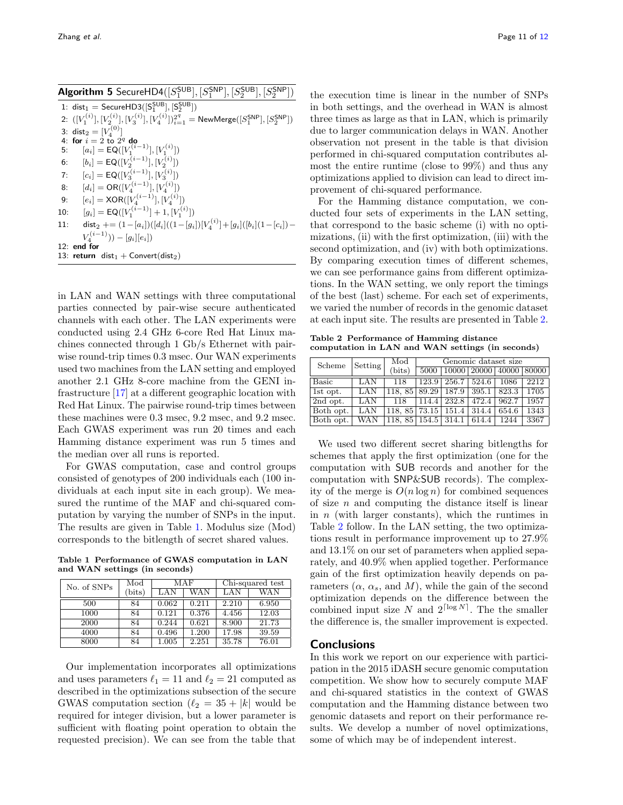<span id="page-10-0"></span>

|     | <b>Algorithm 5</b> SecureHD4( $[S_1^{\text{SUB}}], [S_1^{\text{SNP}}], [S_2^{\text{SUB}}], [S_2^{\text{SNP}}]$ )                |
|-----|---------------------------------------------------------------------------------------------------------------------------------|
|     | 1: $dist_1 = SecureHD3([S_1^{SUB}], [S_2^{SUB}])$                                                                               |
|     | 2: $([V_1^{(i)}], [V_2^{(i)}], [V_3^{(i)}], [V_4^{(i)}])_{i=1}^{2^q} = \text{NewMerge}([S_1^{\text{SNP}}], [S_2^{\text{SNP}}])$ |
|     | 3: dist <sub>2</sub> = $[V_4^{(0)}]$                                                                                            |
|     | 4: for $i=2$ to $2q$ do                                                                                                         |
| 5:  | $[a_i] = \mathsf{EQ}([V_1^{(\bar{i}-1)}], [V_1^{(i)}])$                                                                         |
| 6:  | $[b_i] = \mathsf{EQ}([V_2^{(i-1)}], [V_2^{(i)}])$                                                                               |
| 7:  | $[c_i]$ = EQ([ $V_3^{(i-1)}$ ], [ $V_3^{(i)}$ ])                                                                                |
| 8:  | $[d_i] = OR([V_4^{(i-1)}], [V_4^{(i)}])$                                                                                        |
| 9:  | $[e_i] = XOR([V_A^{(i-1)}], [V_A^{(i)}])$                                                                                       |
| 10: | $[q_i] = \mathsf{EQ}([V_1^{(i-1)}]+1,[V_1^{(i)}])$                                                                              |
| 11: | $dist_2$ += $(1-[a_i])([d_i]((1-[g_i])[V_i^{(i)}]+[g_i]([b_i] (1-[c_i])-$                                                       |
|     | $V_4^{(i-1)})) - [q_i][e_i]$                                                                                                    |
|     | $12:$ end for                                                                                                                   |
|     | 13: return $dist_1 +$ Convert(dist <sub>2</sub> )                                                                               |

in LAN and WAN settings with three computational parties connected by pair-wise secure authenticated channels with each other. The LAN experiments were conducted using 2.4 GHz 6-core Red Hat Linux machines connected through 1 Gb/s Ethernet with pairwise round-trip times 0.3 msec. Our WAN experiments used two machines from the LAN setting and employed another 2.1 GHz 8-core machine from the GENI infrastructure [\[17\]](#page-11-19) at a different geographic location with Red Hat Linux. The pairwise round-trip times between these machines were 0.3 msec, 9.2 msec, and 9.2 msec. Each GWAS experiment was run 20 times and each Hamming distance experiment was run 5 times and the median over all runs is reported.

For GWAS computation, case and control groups consisted of genotypes of 200 individuals each (100 individuals at each input site in each group). We measured the runtime of the MAF and chi-squared computation by varying the number of SNPs in the input. The results are given in Table [1.](#page-10-1) Modulus size (Mod) corresponds to the bitlength of secret shared values.

<span id="page-10-1"></span>Table 1 Performance of GWAS computation in LAN and WAN settings (in seconds)

| No. of SNPs | Mod    | MAF   |       | Chi-squared test |       |
|-------------|--------|-------|-------|------------------|-------|
|             | (bits) |       | WAN   | LAN              | WAN   |
| 500         | 84     | 0.062 | 0.211 | 2.210            | 6.950 |
| 1000        | 84     | 0.121 | 0.376 | 4.456            | 12.03 |
| 2000        | 84     | 0.244 | 0.621 | 8.900            | 21.73 |
| 4000        | 84     | 0.496 | 1.200 | 17.98            | 39.59 |
| 8000        | 84     | 1.005 | 2.251 | 35.78            | 76.01 |

Our implementation incorporates all optimizations and uses parameters  $\ell_1 = 11$  and  $\ell_2 = 21$  computed as described in the optimizations subsection of the secure GWAS computation section  $(\ell_2 = 35 + |k|)$  would be required for integer division, but a lower parameter is sufficient with floating point operation to obtain the requested precision). We can see from the table that the execution time is linear in the number of SNPs in both settings, and the overhead in WAN is almost three times as large as that in LAN, which is primarily due to larger communication delays in WAN. Another observation not present in the table is that division performed in chi-squared computation contributes almost the entire runtime (close to 99%) and thus any optimizations applied to division can lead to direct improvement of chi-squared performance.

For the Hamming distance computation, we conducted four sets of experiments in the LAN setting, that correspond to the basic scheme (i) with no optimizations, (ii) with the first optimization, (iii) with the second optimization, and (iv) with both optimizations. By comparing execution times of different schemes, we can see performance gains from different optimizations. In the WAN setting, we only report the timings of the best (last) scheme. For each set of experiments, we varied the number of records in the genomic dataset at each input site. The results are presented in Table [2.](#page-10-2)

<span id="page-10-2"></span>Table 2 Performance of Hamming distance computation in LAN and WAN settings (in seconds)

| Scheme            | Setting | Mod           | Genomic dataset size |       |                               |       |      |  |
|-------------------|---------|---------------|----------------------|-------|-------------------------------|-------|------|--|
|                   |         | (bits)        | 5000                 |       | 10000   20000   40000   80000 |       |      |  |
| Basic             | LAN     | 118           | 123.9                | 256.7 | 524.6                         | 1086  | 2212 |  |
| 1st opt.          | LAN     | 118.85        | 89.29                | 187.9 | 395.1                         | 823.3 | 1705 |  |
| $\sqrt{2nd}$ opt. | LAN     | 118           | 114.4                | 232.8 | 472.4                         | 962.7 | 1957 |  |
| Both opt.         | LAN     | 118, 85 73.15 |                      | 151.4 | 314.4                         | 654.6 | 1343 |  |
| Both opt.         | WAN     | 118,85        | 154.5                | 314.1 | 614.4                         | 1244  | 3367 |  |

We used two different secret sharing bitlengths for schemes that apply the first optimization (one for the computation with SUB records and another for the computation with SNP&SUB records). The complexity of the merge is  $O(n \log n)$  for combined sequences of size  $n$  and computing the distance itself is linear in  $n$  (with larger constants), which the runtimes in Table [2](#page-10-2) follow. In the LAN setting, the two optimizations result in performance improvement up to 27.9% and 13.1% on our set of parameters when applied separately, and 40.9% when applied together. Performance gain of the first optimization heavily depends on parameters  $(\alpha, \alpha_s, \text{ and } M)$ , while the gain of the second optimization depends on the difference between the combined input size N and  $2^{\lceil \log N \rceil}$ . The the smaller the difference is, the smaller improvement is expected.

## **Conclusions**

In this work we report on our experience with participation in the 2015 iDASH secure genomic computation competition. We show how to securely compute MAF and chi-squared statistics in the context of GWAS computation and the Hamming distance between two genomic datasets and report on their performance results. We develop a number of novel optimizations, some of which may be of independent interest.